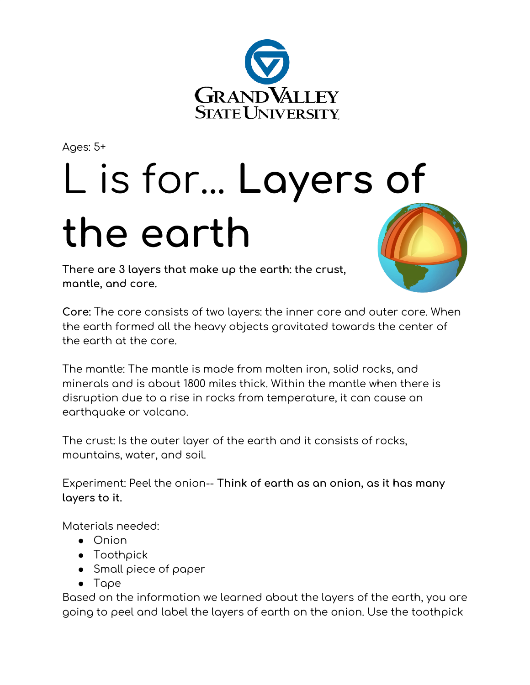

Ages: 5+

## L is for... **Layers of the earth**

**There are 3 layers that make up the earth: the crust, mantle, and core.**



**Core:** The core consists of two layers: the inner core and outer core. When the earth formed all the heavy objects gravitated towards the center of the earth at the core.

The mantle: The mantle is made from molten iron, solid rocks, and minerals and is about 1800 miles thick. Within the mantle when there is disruption due to a rise in rocks from temperature, it can cause an earthquake or volcano.

The crust: Is the outer layer of the earth and it consists of rocks, mountains, water, and soil.

Experiment: Peel the onion-- **Think of earth as an onion, as it has many layers to it.**

Materials needed:

- Onion
- Toothpick
- Small piece of paper
- Tape

Based on the information we learned about the layers of the earth, you are going to peel and label the layers of earth on the onion. Use the toothpick